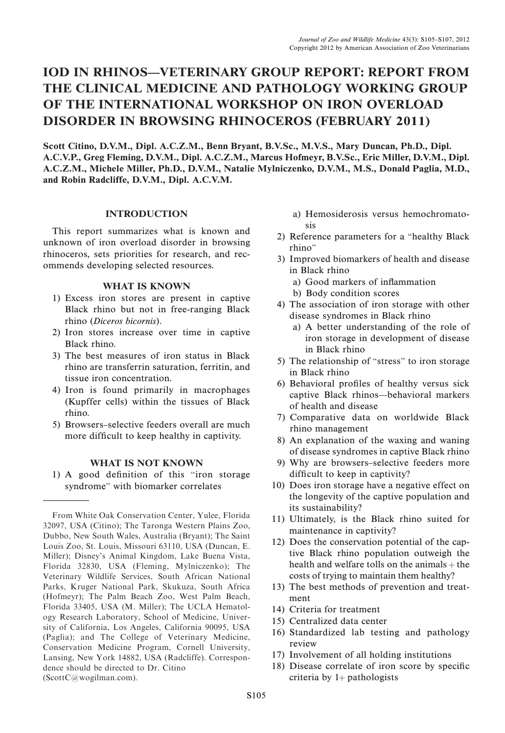# IOD IN RHINOS—VETERINARY GROUP REPORT: REPORT FROM THE CLINICAL MEDICINE AND PATHOLOGY WORKING GROUP OF THE INTERNATIONAL WORKSHOP ON IRON OVERLOAD DISORDER IN BROWSING RHINOCEROS (FEBRUARY 2011)

Scott Citino, D.V.M., Dipl. A.C.Z.M., Benn Bryant, B.V.Sc., M.V.S., Mary Duncan, Ph.D., Dipl. A.C.V.P., Greg Fleming, D.V.M., Dipl. A.C.Z.M., Marcus Hofmeyr, B.V.Sc., Eric Miller, D.V.M., Dipl. A.C.Z.M., Michele Miller, Ph.D., D.V.M., Natalie Mylniczenko, D.V.M., M.S., Donald Paglia, M.D., and Robin Radcliffe, D.V.M., Dipl. A.C.V.M.

### INTRODUCTION

This report summarizes what is known and unknown of iron overload disorder in browsing rhinoceros, sets priorities for research, and recommends developing selected resources.

#### WHAT IS KNOWN

- 1) Excess iron stores are present in captive Black rhino but not in free-ranging Black rhino (Diceros bicornis).
- 2) Iron stores increase over time in captive Black rhino.
- 3) The best measures of iron status in Black rhino are transferrin saturation, ferritin, and tissue iron concentration.
- 4) Iron is found primarily in macrophages (Kupffer cells) within the tissues of Black rhino.
- 5) Browsers–selective feeders overall are much more difficult to keep healthy in captivity.

# WHAT IS NOT KNOWN

1) A good definition of this ''iron storage syndrome'' with biomarker correlates

- a) Hemosiderosis versus hemochromatosis
- 2) Reference parameters for a ''healthy Black rhino''
- 3) Improved biomarkers of health and disease in Black rhino
	- a) Good markers of inflammation
	- b) Body condition scores
- 4) The association of iron storage with other disease syndromes in Black rhino
	- a) A better understanding of the role of iron storage in development of disease in Black rhino
- 5) The relationship of ''stress'' to iron storage in Black rhino
- 6) Behavioral profiles of healthy versus sick captive Black rhinos—behavioral markers of health and disease
- 7) Comparative data on worldwide Black rhino management
- 8) An explanation of the waxing and waning of disease syndromes in captive Black rhino
- 9) Why are browsers–selective feeders more difficult to keep in captivity?
- 10) Does iron storage have a negative effect on the longevity of the captive population and its sustainability?
- 11) Ultimately, is the Black rhino suited for maintenance in captivity?
- 12) Does the conservation potential of the captive Black rhino population outweigh the health and welfare tolls on the animals  $+$  the costs of trying to maintain them healthy?
- 13) The best methods of prevention and treatment
- 14) Criteria for treatment
- 15) Centralized data center
- 16) Standardized lab testing and pathology review
- 17) Involvement of all holding institutions
- 18) Disease correlate of iron score by specific criteria by  $1+$  pathologists

From White Oak Conservation Center, Yulee, Florida 32097, USA (Citino); The Taronga Western Plains Zoo, Dubbo, New South Wales, Australia (Bryant); The Saint Louis Zoo, St. Louis, Missouri 63110, USA (Duncan, E. Miller); Disney's Animal Kingdom, Lake Buena Vista, Florida 32830, USA (Fleming, Mylniczenko); The Veterinary Wildlife Services, South African National Parks, Kruger National Park, Skukuza, South Africa (Hofmeyr); The Palm Beach Zoo, West Palm Beach, Florida 33405, USA (M. Miller); The UCLA Hematology Research Laboratory, School of Medicine, University of California, Los Angeles, California 90095, USA (Paglia); and The College of Veterinary Medicine, Conservation Medicine Program, Cornell University, Lansing, New York 14882, USA (Radcliffe). Correspondence should be directed to Dr. Citino (ScottC@wogilman.com).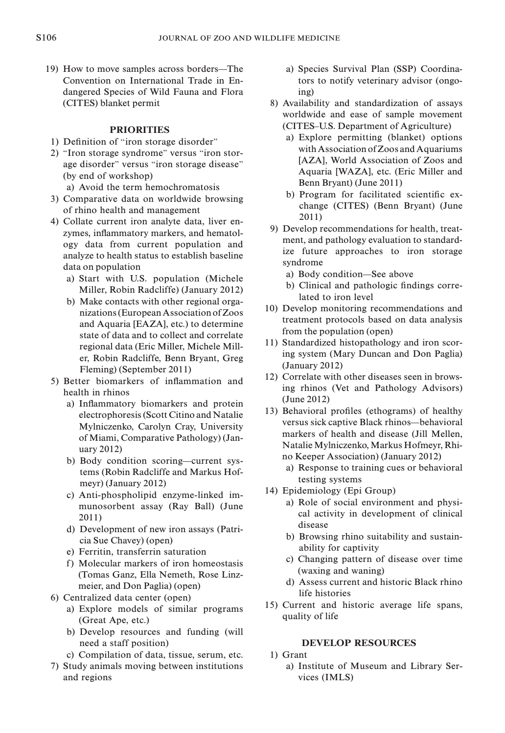19) How to move samples across borders—The Convention on International Trade in Endangered Species of Wild Fauna and Flora (CITES) blanket permit

# **PRIORITIES**

- 1) Definition of ''iron storage disorder''
- 2) ''Iron storage syndrome'' versus ''iron storage disorder'' versus ''iron storage disease'' (by end of workshop)
	- a) Avoid the term hemochromatosis
- 3) Comparative data on worldwide browsing of rhino health and management
- 4) Collate current iron analyte data, liver enzymes, inflammatory markers, and hematology data from current population and analyze to health status to establish baseline data on population
	- a) Start with U.S. population (Michele Miller, Robin Radcliffe) (January 2012)
	- b) Make contacts with other regional organizations (EuropeanAssociation of Zoos and Aquaria [EAZA], etc.) to determine state of data and to collect and correlate regional data (Eric Miller, Michele Miller, Robin Radcliffe, Benn Bryant, Greg Fleming) (September 2011)
- 5) Better biomarkers of inflammation and health in rhinos
	- a) Inflammatory biomarkers and protein electrophoresis (Scott Citino and Natalie Mylniczenko, Carolyn Cray, University of Miami, Comparative Pathology) (January 2012)
	- b) Body condition scoring—current systems (Robin Radcliffe and Markus Hofmeyr) (January 2012)
	- c) Anti-phospholipid enzyme-linked immunosorbent assay (Ray Ball) (June 2011)
	- d) Development of new iron assays (Patricia Sue Chavey) (open)
	- e) Ferritin, transferrin saturation
	- f) Molecular markers of iron homeostasis (Tomas Ganz, Ella Nemeth, Rose Linzmeier, and Don Paglia) (open)
- 6) Centralized data center (open)
	- a) Explore models of similar programs (Great Ape, etc.)
	- b) Develop resources and funding (will need a staff position)
	- c) Compilation of data, tissue, serum, etc.
- 7) Study animals moving between institutions and regions
- a) Species Survival Plan (SSP) Coordinators to notify veterinary advisor (ongoing)
- 8) Availability and standardization of assays worldwide and ease of sample movement (CITES–U.S. Department of Agriculture)
	- a) Explore permitting (blanket) options withAssociation of Zoos and Aquariums [AZA], World Association of Zoos and Aquaria [WAZA], etc. (Eric Miller and Benn Bryant) (June 2011)
	- b) Program for facilitated scientific exchange (CITES) (Benn Bryant) (June 2011)
- 9) Develop recommendations for health, treatment, and pathology evaluation to standardize future approaches to iron storage syndrome
	- a) Body condition—See above
	- b) Clinical and pathologic findings correlated to iron level
- 10) Develop monitoring recommendations and treatment protocols based on data analysis from the population (open)
- 11) Standardized histopathology and iron scoring system (Mary Duncan and Don Paglia) (January 2012)
- 12) Correlate with other diseases seen in browsing rhinos (Vet and Pathology Advisors) (June 2012)
- 13) Behavioral profiles (ethograms) of healthy versus sick captive Black rhinos—behavioral markers of health and disease (Jill Mellen, Natalie Mylniczenko, Markus Hofmeyr, Rhino Keeper Association) (January 2012)
	- a) Response to training cues or behavioral testing systems
- 14) Epidemiology (Epi Group)
	- a) Role of social environment and physical activity in development of clinical disease
	- b) Browsing rhino suitability and sustainability for captivity
	- c) Changing pattern of disease over time (waxing and waning)
	- d) Assess current and historic Black rhino life histories
- 15) Current and historic average life spans, quality of life

# DEVELOP RESOURCES

- 1) Grant
	- a) Institute of Museum and Library Services (IMLS)